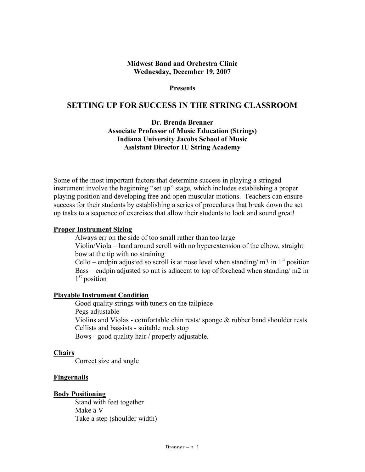### **Midwest Band and Orchestra Clinic Wednesday, December 19, 2007**

**Presents**

# **SETTING UP FOR SUCCESS IN THE STRING CLASSROOM**

**Dr. Brenda Brenner Associate Professor of Music Education (Strings) Indiana University Jacobs School of Music Assistant Director IU String Academy**

Some of the most important factors that determine success in playing a stringed instrument involve the beginning "set up" stage, which includes establishing a proper playing position and developing free and open muscular motions. Teachers can ensure success for their students by establishing a series of procedures that break down the set up tasks to a sequence of exercises that allow their students to look and sound great!

#### **Proper Instrument Sizing**

Always err on the side of too small rather than too large Violin/Viola – hand around scroll with no hyperextension of the elbow, straight bow at the tip with no straining Cello – endpin adjusted so scroll is at nose level when standing/  $m3$  in  $1<sup>st</sup>$  position Bass – endpin adjusted so nut is adjacent to top of forehead when standing/ m2 in

1<sup>st</sup> position

### **Playable Instrument Condition**

Good quality strings with tuners on the tailpiece Pegs adjustable Violins and Violas - comfortable chin rests/ sponge & rubber band shoulder rests Cellists and bassists - suitable rock stop Bows - good quality hair / properly adjustable.

#### **Chairs**

Correct size and angle

#### **Fingernails**

#### **Body Positioning**

Stand with feet together Make a V Take a step (shoulder width)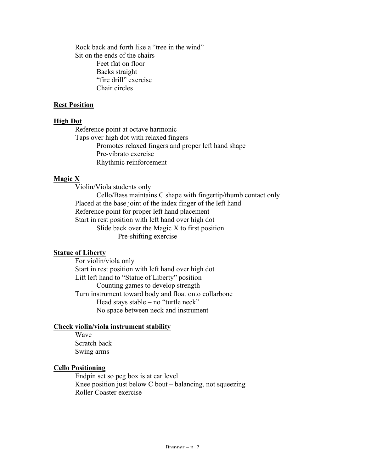Rock back and forth like a "tree in the wind" Sit on the ends of the chairs Feet flat on floor Backs straight "fire drill" exercise Chair circles

### **Rest Position**

### **High Dot**

Reference point at octave harmonic Taps over high dot with relaxed fingers Promotes relaxed fingers and proper left hand shape Pre-vibrato exercise Rhythmic reinforcement

# **Magic X**

Violin/Viola students only

Cello/Bass maintains C shape with fingertip/thumb contact only Placed at the base joint of the index finger of the left hand Reference point for proper left hand placement Start in rest position with left hand over high dot Slide back over the Magic X to first position Pre-shifting exercise

# **Statue of Liberty**

For violin/viola only Start in rest position with left hand over high dot Lift left hand to "Statue of Liberty" position Counting games to develop strength Turn instrument toward body and float onto collarbone Head stays stable – no "turtle neck" No space between neck and instrument

### **Check violin/viola instrument stability**

Wave Scratch back Swing arms

#### **Cello Positioning**

Endpin set so peg box is at ear level Knee position just below C bout – balancing, not squeezing Roller Coaster exercise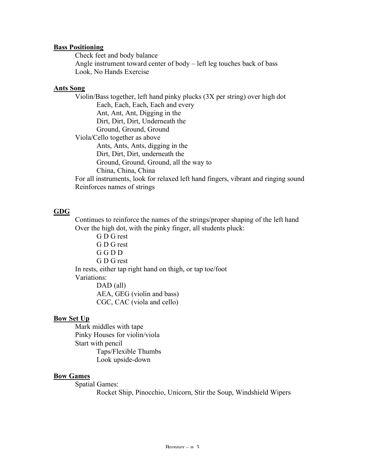### **Bass Positioning**

Check feet and body balance Angle instrument toward center of body – left leg touches back of bass Look, No Hands Exercise

### **Ants Song**

Violin/Bass together, left hand pinky plucks (3X per string) over high dot Each, Each, Each, Each and every Ant, Ant, Ant, Digging in the Dirt, Dirt, Dirt, Underneath the Ground, Ground, Ground Viola/Cello together as above Ants, Ants, Ants, digging in the Dirt, Dirt, Dirt, underneath the Ground, Ground, Ground, all the way to China, China, China For all instruments, look for relaxed left hand fingers, vibrant and ringing sound Reinforces names of strings

# **GDG**

Continues to reinforce the names of the strings/proper shaping of the left hand Over the high dot, with the pinky finger, all students pluck:

G D G rest G D G rest G G D D G D G rest In rests, either tap right hand on thigh, or tap toe/foot Variations: DAD (all) AEA, GEG (violin and bass) CGC, CAC (viola and cello)

# **Bow Set Up**

Mark middles with tape Pinky Houses for violin/viola Start with pencil Taps/Flexible Thumbs Look upside-down

# **Bow Games**

Spatial Games: Rocket Ship, Pinocchio, Unicorn, Stir the Soup, Windshield Wipers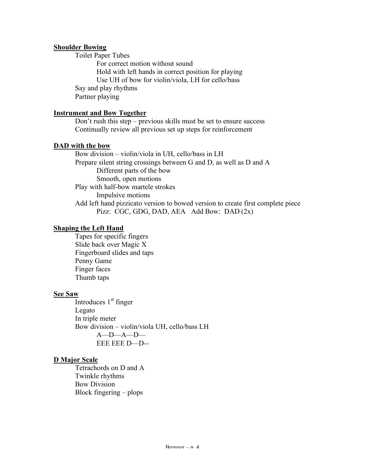### **Shoulder Bowing**

Toilet Paper Tubes For correct motion without sound Hold with left hands in correct position for playing Use UH of bow for violin/viola, LH for cello/bass Say and play rhythms Partner playing

### **Instrument and Bow Together**

Don't rush this step – previous skills must be set to ensure success Continually review all previous set up steps for reinforcement

#### **DAD with the bow**

Bow division – violin/viola in UH, cello/bass in LH Prepare silent string crossings between G and D, as well as D and A Different parts of the bow Smooth, open motions Play with half-bow martele strokes Impulsive motions Add left hand pizzicato version to bowed version to create first complete piece Pizz: CGC, GDG, DAD, AEA Add Bow: DAD (2x)

### **Shaping the Left Hand**

Tapes for specific fingers Slide back over Magic X Fingerboard slides and taps Penny Game Finger faces Thumb taps

#### **See Saw**

Introduces 1<sup>st</sup> finger Legato In triple meter Bow division – violin/viola UH, cello/bass LH A—D—A—D— EEE EEE D—D--

# **D Major Scale**

Tetrachords on D and A Twinkle rhythms Bow Division Block fingering – plops